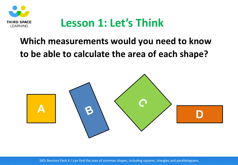

## **Lesson 1: Let's Think**

### **Which measurements would you need to know to be able to calculate the area of each shape?**

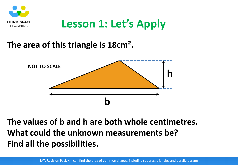

# **Lesson 1: Let's Apply**

#### **The area of this triangle is 18cm².**



#### **The values of b and h are both whole centimetres. What could the unknown measurements be? Find all the possibilities.**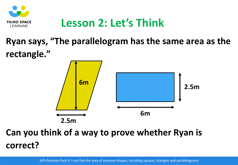

## **Lesson 2: Let's Think**

## **Ryan says, "The parallelogram has the same area as the rectangle."**



### **Can you think of a way to prove whether Ryan is correct?**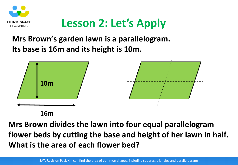

# **Lesson 2: Let's Apply**

#### **Mrs Brown's garden lawn is a parallelogram. Its base is 16m and its height is 10m.**



**16m**

**Mrs Brown divides the lawn into four equal parallelogram flower beds by cutting the base and height of her lawn in half. What is the area of each flower bed?**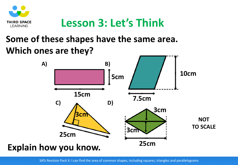

## **Lesson 3: Let's Think**

### **Some of these shapes have the same area. Which ones are they?**